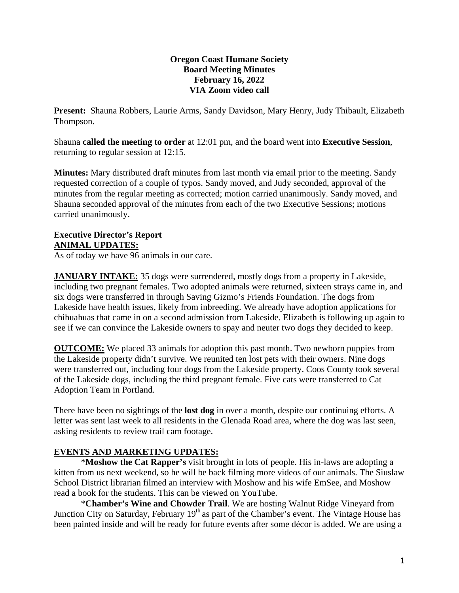### **Oregon Coast Humane Society Board Meeting Minutes February 16, 2022 VIA Zoom video call**

**Present:** Shauna Robbers, Laurie Arms, Sandy Davidson, Mary Henry, Judy Thibault, Elizabeth Thompson.

Shauna **called the meeting to order** at 12:01 pm, and the board went into **Executive Session**, returning to regular session at 12:15.

**Minutes:** Mary distributed draft minutes from last month via email prior to the meeting. Sandy requested correction of a couple of typos. Sandy moved, and Judy seconded, approval of the minutes from the regular meeting as corrected; motion carried unanimously. Sandy moved, and Shauna seconded approval of the minutes from each of the two Executive Sessions; motions carried unanimously.

## **Executive Director's Report ANIMAL UPDATES:**

As of today we have 96 animals in our care.

**JANUARY INTAKE:** 35 dogs were surrendered, mostly dogs from a property in Lakeside, including two pregnant females. Two adopted animals were returned, sixteen strays came in, and six dogs were transferred in through Saving Gizmo's Friends Foundation. The dogs from Lakeside have health issues, likely from inbreeding. We already have adoption applications for chihuahuas that came in on a second admission from Lakeside. Elizabeth is following up again to see if we can convince the Lakeside owners to spay and neuter two dogs they decided to keep.

**OUTCOME:** We placed 33 animals for adoption this past month. Two newborn puppies from the Lakeside property didn't survive. We reunited ten lost pets with their owners. Nine dogs were transferred out, including four dogs from the Lakeside property. Coos County took several of the Lakeside dogs, including the third pregnant female. Five cats were transferred to Cat Adoption Team in Portland.

There have been no sightings of the **lost dog** in over a month, despite our continuing efforts. A letter was sent last week to all residents in the Glenada Road area, where the dog was last seen, asking residents to review trail cam footage.

# **EVENTS AND MARKETING UPDATES:**

\***Moshow the Cat Rapper's** visit brought in lots of people. His in-laws are adopting a kitten from us next weekend, so he will be back filming more videos of our animals. The Siuslaw School District librarian filmed an interview with Moshow and his wife EmSee, and Moshow read a book for the students. This can be viewed on YouTube.

\***Chamber's Wine and Chowder Trail**. We are hosting Walnut Ridge Vineyard from Junction City on Saturday, February 19<sup>th</sup> as part of the Chamber's event. The Vintage House has been painted inside and will be ready for future events after some décor is added. We are using a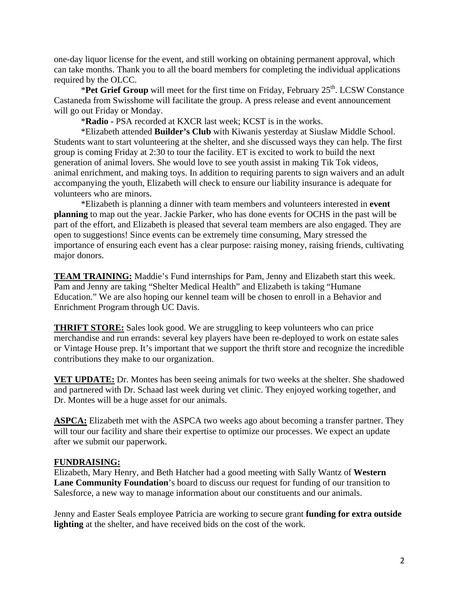one-day liquor license for the event, and still working on obtaining permanent approval, which can take months. Thank you to all the board members for completing the individual applications required by the OLCC.

\***Pet Grief Group** will meet for the first time on Friday, February 25<sup>th</sup>. LCSW Constance Castaneda from Swisshome will facilitate the group. A press release and event announcement will go out Friday or Monday.

\***Radio -** PSA recorded at KXCR last week; KCST is in the works.

\*Elizabeth attended **Builder's Club** with Kiwanis yesterday at Siuslaw Middle School. Students want to start volunteering at the shelter, and she discussed ways they can help. The first group is coming Friday at 2:30 to tour the facility. ET is excited to work to build the next generation of animal lovers. She would love to see youth assist in making Tik Tok videos, animal enrichment, and making toys. In addition to requiring parents to sign waivers and an adult accompanying the youth, Elizabeth will check to ensure our liability insurance is adequate for volunteers who are minors.

\*Elizabeth is planning a dinner with team members and volunteers interested in **event planning** to map out the year. Jackie Parker, who has done events for OCHS in the past will be part of the effort, and Elizabeth is pleased that several team members are also engaged. They are open to suggestions! Since events can be extremely time consuming, Mary stressed the importance of ensuring each event has a clear purpose: raising money, raising friends, cultivating major donors.

**TEAM TRAINING:** Maddie's Fund internships for Pam, Jenny and Elizabeth start this week. Pam and Jenny are taking "Shelter Medical Health" and Elizabeth is taking "Humane Education." We are also hoping our kennel team will be chosen to enroll in a Behavior and Enrichment Program through UC Davis.

**THRIFT STORE:** Sales look good. We are struggling to keep volunteers who can price merchandise and run errands: several key players have been re-deployed to work on estate sales or Vintage House prep. It's important that we support the thrift store and recognize the incredible contributions they make to our organization.

**VET UPDATE:** Dr. Montes has been seeing animals for two weeks at the shelter. She shadowed and partnered with Dr. Schaad last week during vet clinic. They enjoyed working together, and Dr. Montes will be a huge asset for our animals.

**ASPCA:** Elizabeth met with the ASPCA two weeks ago about becoming a transfer partner. They will tour our facility and share their expertise to optimize our processes. We expect an update after we submit our paperwork.

## **FUNDRAISING:**

Elizabeth, Mary Henry, and Beth Hatcher had a good meeting with Sally Wantz of **Western Lane Community Foundation**'s board to discuss our request for funding of our transition to Salesforce, a new way to manage information about our constituents and our animals.

Jenny and Easter Seals employee Patricia are working to secure grant **funding for extra outside lighting** at the shelter, and have received bids on the cost of the work.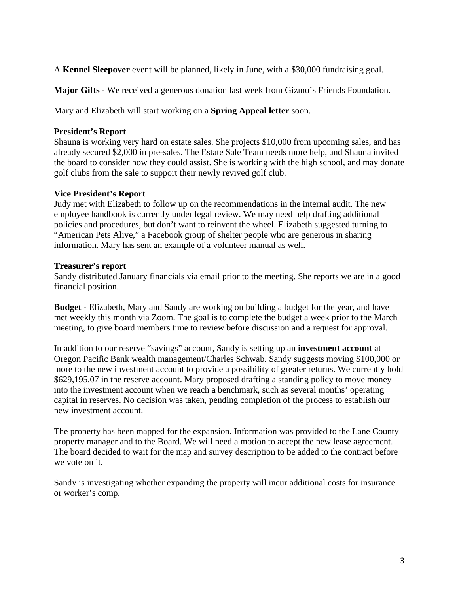A **Kennel Sleepover** event will be planned, likely in June, with a \$30,000 fundraising goal.

**Major Gifts -** We received a generous donation last week from Gizmo's Friends Foundation.

Mary and Elizabeth will start working on a **Spring Appeal letter** soon.

#### **President's Report**

Shauna is working very hard on estate sales. She projects \$10,000 from upcoming sales, and has already secured \$2,000 in pre-sales. The Estate Sale Team needs more help, and Shauna invited the board to consider how they could assist. She is working with the high school, and may donate golf clubs from the sale to support their newly revived golf club.

#### **Vice President's Report**

Judy met with Elizabeth to follow up on the recommendations in the internal audit. The new employee handbook is currently under legal review. We may need help drafting additional policies and procedures, but don't want to reinvent the wheel. Elizabeth suggested turning to "American Pets Alive," a Facebook group of shelter people who are generous in sharing information. Mary has sent an example of a volunteer manual as well.

#### **Treasurer's report**

Sandy distributed January financials via email prior to the meeting. She reports we are in a good financial position.

**Budget -** Elizabeth, Mary and Sandy are working on building a budget for the year, and have met weekly this month via Zoom. The goal is to complete the budget a week prior to the March meeting, to give board members time to review before discussion and a request for approval.

In addition to our reserve "savings" account, Sandy is setting up an **investment account** at Oregon Pacific Bank wealth management/Charles Schwab. Sandy suggests moving \$100,000 or more to the new investment account to provide a possibility of greater returns. We currently hold \$629,195.07 in the reserve account. Mary proposed drafting a standing policy to move money into the investment account when we reach a benchmark, such as several months' operating capital in reserves. No decision was taken, pending completion of the process to establish our new investment account.

The property has been mapped for the expansion. Information was provided to the Lane County property manager and to the Board. We will need a motion to accept the new lease agreement. The board decided to wait for the map and survey description to be added to the contract before we vote on it.

Sandy is investigating whether expanding the property will incur additional costs for insurance or worker's comp.